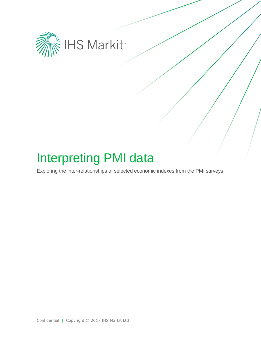

# Interpreting PMI data

Exploring the inter-relationships of selected economic indexes from the PMI surveys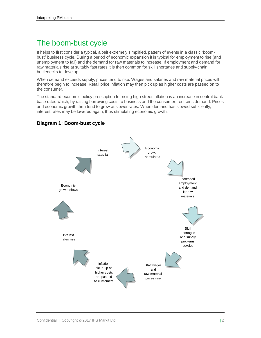# The boom-bust cycle

It helps to first consider a typical, albeit extremely simplified, pattern of events in a classic "boombust" business cycle. During a period of economic expansion it is typical for employment to rise (and unemployment to fall) and the demand for raw materials to increase. If employment and demand for raw materials rise at suitably fast rates it is then common for skill shortages and supply-chain bottlenecks to develop.

When demand exceeds supply, prices tend to rise. Wages and salaries and raw material prices will therefore begin to increase. Retail price inflation may then pick up as higher costs are passed on to the consumer.

The standard economic policy prescription for rising high street inflation is an increase in central bank base rates which, by raising borrowing costs to business and the consumer, restrains demand. Prices and economic growth then tend to grow at slower rates. When demand has slowed sufficiently, interest rates may be lowered again, thus stimulating economic growth.



### **Diagram 1: Boom-bust cycle**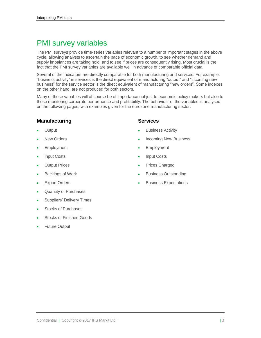# PMI survey variables

The PMI surveys provide time-series variables relevant to a number of important stages in the above cycle, allowing analysts to ascertain the pace of economic growth, to see whether demand and supply imbalances are taking hold, and to see if prices are consequently rising. Most crucial is the fact that the PMI survey variables are available well in advance of comparable official data.

Several of the indicators are directly comparable for both manufacturing and services. For example, "business activity" in services is the direct equivalent of manufacturing "output" and "incoming new business" for the service sector is the direct equivalent of manufacturing "new orders". Some indexes, on the other hand, are not produced for both sectors.

Many of these variables will of course be of importance not just to economic policy makers but also to those monitoring corporate performance and profitability. The behaviour of the variables is analysed on the following pages, with examples given for the eurozone manufacturing sector.

#### **Manufacturing**

- **Output**
- New Orders
- Employment
- Input Costs
- Output Prices
- Backlogs of Work
- Export Orders
- Quantity of Purchases
- Suppliers' Delivery Times
- Stocks of Purchases
- Stocks of Finished Goods
- Future Output

#### **Services**

- Business Activity
- Incoming New Business
- Employment
- Input Costs
- Prices Charged
- Business Outstanding
- Business Expectations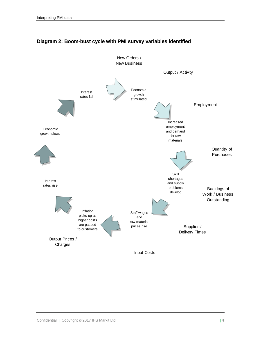

### **Diagram 2: Boom-bust cycle with PMI survey variables identified**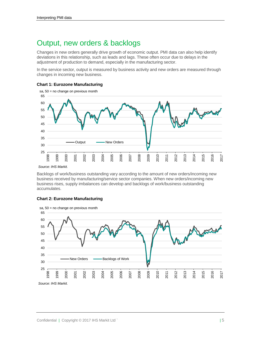### Output, new orders & backlogs

Changes in new orders generally drive growth of economic output. PMI data can also help identify deviations in this relationship, such as leads and lags. These often occur due to delays in the adjustment of production to demand, especially in the manufacturing sector.

In the service sector, output is measured by business activity and new orders are measured through changes in incoming new business.





Backlogs of work/business outstanding vary according to the amount of new orders/incoming new business received by manufacturing/service sector companies. When new orders/incoming new business rises, supply imbalances can develop and backlogs of work/business outstanding accumulates.



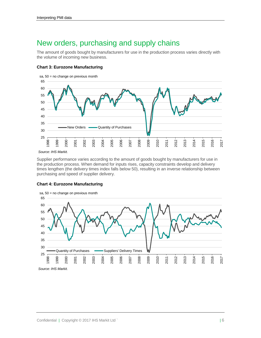### New orders, purchasing and supply chains

The amount of goods bought by manufacturers for use in the production process varies directly with the volume of incoming new business.

#### **Chart 3: Eurozone Manufacturing**



Supplier performance varies according to the amount of goods bought by manufacturers for use in the production process. When demand for inputs rises, capacity constraints develop and delivery times lengthen (the delivery times index falls below 50), resulting in an inverse relationship between purchasing and speed of supplier delivery.

#### **Chart 4: Eurozone Manufacturing**

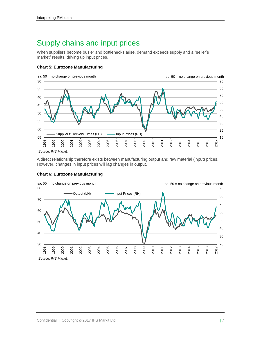### Supply chains and input prices

When suppliers become busier and bottlenecks arise, demand exceeds supply and a "seller's market" results, driving up input prices.

#### **Chart 5: Eurozone Manufacturing**



A direct relationship therefore exists between manufacturing output and raw material (input) prices. However, changes in input prices will lag changes in output.



#### **Chart 6: Eurozone Manufacturing**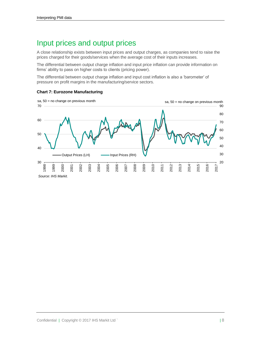### Input prices and output prices

A close relationship exists between input prices and output charges, as companies tend to raise the prices charged for their goods/services when the average cost of their inputs increases.

The differential between output charge inflation and input price inflation can provide information on firms' ability to pass on higher costs to clients (pricing power).

The differential between output charge inflation and input cost inflation is also a 'barometer' of pressure on profit margins in the manufacturing/service sectors.



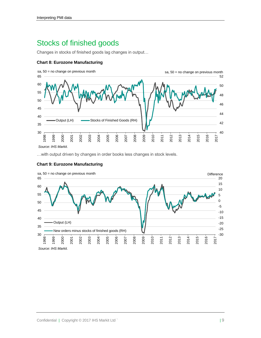# Stocks of finished goods

Changes in stocks of finished goods lag changes in output…

#### **Chart 8: Eurozone Manufacturing**



…with output driven by changes in order books less changes in stock levels.



#### **Chart 9: Eurozone Manufacturing**